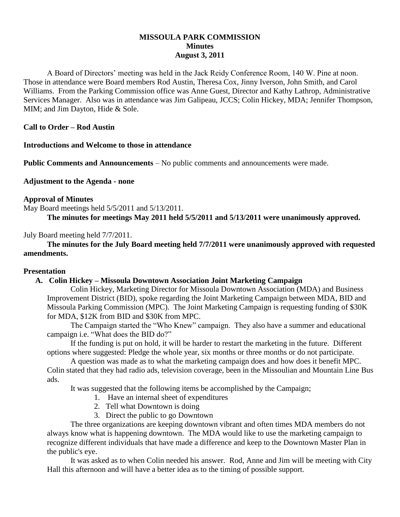# **MISSOULA PARK COMMISSION Minutes August 3, 2011**

A Board of Directors' meeting was held in the Jack Reidy Conference Room, 140 W. Pine at noon. Those in attendance were Board members Rod Austin, Theresa Cox, Jinny Iverson, John Smith, and Carol Williams. From the Parking Commission office was Anne Guest, Director and Kathy Lathrop, Administrative Services Manager. Also was in attendance was Jim Galipeau, JCCS; Colin Hickey, MDA; Jennifer Thompson, MIM; and Jim Dayton, Hide & Sole.

**Call to Order – Rod Austin**

**Introductions and Welcome to those in attendance**

**Public Comments and Announcements** – No public comments and announcements were made.

**Adjustment to the Agenda - none**

### **Approval of Minutes**

May Board meetings held 5/5/2011 and 5/13/2011.

**The minutes for meetings May 2011 held 5/5/2011 and 5/13/2011 were unanimously approved.**

### July Board meeting held 7/7/2011.

**The minutes for the July Board meeting held 7/7/2011 were unanimously approved with requested amendments.**

#### **Presentation**

# **A. Colin Hickey – Missoula Downtown Association Joint Marketing Campaign**

Colin Hickey, Marketing Director for Missoula Downtown Association (MDA) and Business Improvement District (BID), spoke regarding the Joint Marketing Campaign between MDA, BID and Missoula Parking Commission (MPC). The Joint Marketing Campaign is requesting funding of \$30K for MDA, \$12K from BID and \$30K from MPC.

The Campaign started the "Who Knew" campaign. They also have a summer and educational campaign i.e. "What does the BID do?"

If the funding is put on hold, it will be harder to restart the marketing in the future. Different options where suggested: Pledge the whole year, six months or three months or do not participate.

A question was made as to what the marketing campaign does and how does it benefit MPC. Colin stated that they had radio ads, television coverage, been in the Missoulian and Mountain Line Bus ads.

It was suggested that the following items be accomplished by the Campaign;

- 1. Have an internal sheet of expenditures
- 2. Tell what Downtown is doing
- 3. Direct the public to go Downtown

The three organizations are keeping downtown vibrant and often times MDA members do not always know what is happening downtown. The MDA would like to use the marketing campaign to recognize different individuals that have made a difference and keep to the Downtown Master Plan in the public's eye.

It was asked as to when Colin needed his answer. Rod, Anne and Jim will be meeting with City Hall this afternoon and will have a better idea as to the timing of possible support.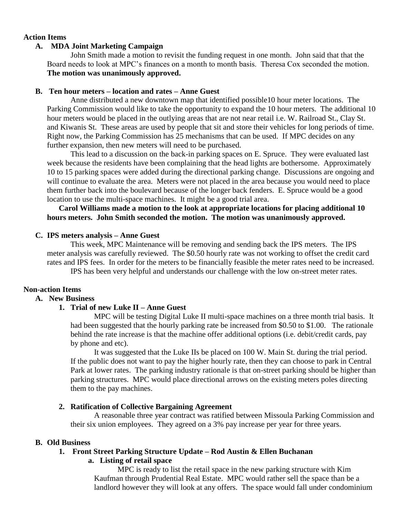### **Action Items**

### **A. MDA Joint Marketing Campaign**

John Smith made a motion to revisit the funding request in one month. John said that that the Board needs to look at MPC's finances on a month to month basis. Theresa Cox seconded the motion. **The motion was unanimously approved.**

### **B. Ten hour meters – location and rates – Anne Guest**

Anne distributed a new downtown map that identified possible10 hour meter locations. The Parking Commission would like to take the opportunity to expand the 10 hour meters. The additional 10 hour meters would be placed in the outlying areas that are not near retail i.e. W. Railroad St., Clay St. and Kiwanis St. These areas are used by people that sit and store their vehicles for long periods of time. Right now, the Parking Commission has 25 mechanisms that can be used. If MPC decides on any further expansion, then new meters will need to be purchased.

This lead to a discussion on the back-in parking spaces on E. Spruce. They were evaluated last week because the residents have been complaining that the head lights are bothersome. Approximately 10 to 15 parking spaces were added during the directional parking change. Discussions are ongoing and will continue to evaluate the area. Meters were not placed in the area because you would need to place them further back into the boulevard because of the longer back fenders. E. Spruce would be a good location to use the multi-space machines. It might be a good trial area.

**Carol Williams made a motion to the look at appropriate locations for placing additional 10 hours meters. John Smith seconded the motion. The motion was unanimously approved.** 

### **C. IPS meters analysis – Anne Guest**

This week, MPC Maintenance will be removing and sending back the IPS meters. The IPS meter analysis was carefully reviewed. The \$0.50 hourly rate was not working to offset the credit card rates and IPS fees. In order for the meters to be financially feasible the meter rates need to be increased. IPS has been very helpful and understands our challenge with the low on-street meter rates.

#### **Non-action Items**

### **A. New Business**

## **1. Trial of new Luke II – Anne Guest**

MPC will be testing Digital Luke II multi-space machines on a three month trial basis. It had been suggested that the hourly parking rate be increased from \$0.50 to \$1.00. The rationale behind the rate increase is that the machine offer additional options (i.e. debit/credit cards, pay by phone and etc).

It was suggested that the Luke IIs be placed on 100 W. Main St. during the trial period. If the public does not want to pay the higher hourly rate, then they can choose to park in Central Park at lower rates. The parking industry rationale is that on-street parking should be higher than parking structures. MPC would place directional arrows on the existing meters poles directing them to the pay machines.

#### **2. Ratification of Collective Bargaining Agreement**

A reasonable three year contract was ratified between Missoula Parking Commission and their six union employees. They agreed on a 3% pay increase per year for three years.

## **B. Old Business**

## **1. Front Street Parking Structure Update – Rod Austin & Ellen Buchanan**

## **a. Listing of retail space**

MPC is ready to list the retail space in the new parking structure with Kim Kaufman through Prudential Real Estate. MPC would rather sell the space than be a landlord however they will look at any offers. The space would fall under condominium